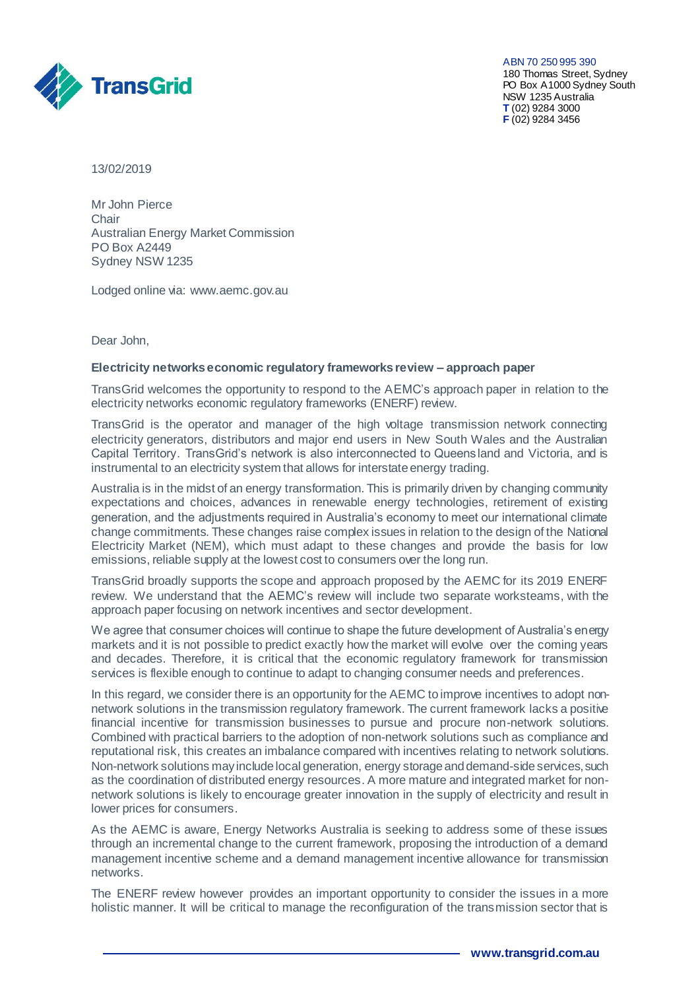

ABN 70 250 995 390 180 Thomas Street, Sydney PO Box A1000 Sydney South NSW 1235 Australia **T** (02) 9284 3000 **F** (02) 9284 3456

13/02/2019

Mr John Pierce **Chair** Australian Energy Market Commission PO Box A2449 Sydney NSW 1235

Lodged online via: [www.aemc.gov.au](http://www.aemc.gov.au/) 

Dear John,

## **Electricity networks economic regulatory frameworks review – approach paper**

TransGrid welcomes the opportunity to respond to the AEMC's approach paper in relation to the electricity networks economic regulatory frameworks (ENERF) review.

TransGrid is the operator and manager of the high voltage transmission network connecting electricity generators, distributors and major end users in New South Wales and the Australian Capital Territory. TransGrid's network is also interconnected to Queensland and Victoria, and is instrumental to an electricity system that allows for interstate energy trading.

Australia is in the midst of an energy transformation. This is primarily driven by changing community expectations and choices, advances in renewable energy technologies, retirement of existing generation, and the adjustments required in Australia's economy to meet our international climate change commitments. These changes raise complex issues in relation to the design of the National Electricity Market (NEM), which must adapt to these changes and provide the basis for low emissions, reliable supply at the lowest cost to consumers over the long run.

TransGrid broadly supports the scope and approach proposed by the AEMC for its 2019 ENERF review. We understand that the AEMC's review will include two separate worksteams, with the approach paper focusing on network incentives and sector development.

We agree that consumer choices will continue to shape the future development of Australia's energy markets and it is not possible to predict exactly how the market will evolve over the coming years and decades. Therefore, it is critical that the economic regulatory framework for transmission services is flexible enough to continue to adapt to changing consumer needs and preferences.

In this regard, we consider there is an opportunity for the AEMC to improve incentives to adopt nonnetwork solutions in the transmission regulatory framework. The current framework lacks a positive financial incentive for transmission businesses to pursue and procure non-network solutions. Combined with practical barriers to the adoption of non-network solutions such as compliance and reputational risk, this creates an imbalance compared with incentives relating to network solutions. Non-network solutions may include local generation, energy storage and demand-side services, such as the coordination of distributed energy resources. A more mature and integrated market for nonnetwork solutions is likely to encourage greater innovation in the supply of electricity and result in lower prices for consumers.

As the AEMC is aware, Energy Networks Australia is seeking to address some of these issues through an incremental change to the current framework, proposing the introduction of a demand management incentive scheme and a demand management incentive allowance for transmission networks.

The ENERF review however provides an important opportunity to consider the issues in a more holistic manner. It will be critical to manage the reconfiguration of the transmission sector that is